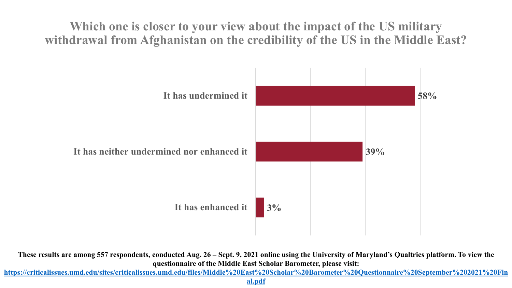**Which one is closer to your view about the impact of the US military withdrawal from Afghanistan on the credibility of the US in the Middle East?**



**These results are among 557 respondents, conducted Aug. 26 – Sept. 9, 2021 online using the University of Maryland's Qualtrics platform. To view the questionnaire of the Middle East Scholar Barometer, please visit:** 

**[https://criticalissues.umd.edu/sites/criticalissues.umd.edu/files/Middle%20East%20Scholar%20Barometer%20Questionnaire%20September%202021%20Fin](https://criticalissues.umd.edu/sites/criticalissues.umd.edu/files/Middle%20East%20Scholar%20Barometer%20Questionnaire%20September%202021%20Final.pdf)**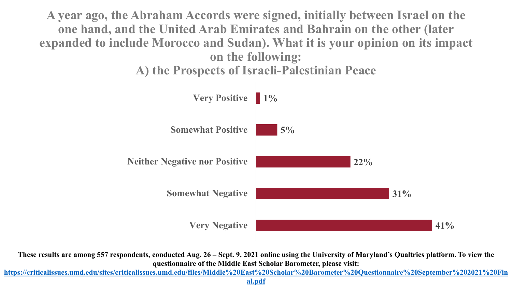**A year ago, the Abraham Accords were signed, initially between Israel on the one hand, and the United Arab Emirates and Bahrain on the other (later expanded to include Morocco and Sudan). What it is your opinion on its impact on the following:**

**A) the Prospects of Israeli-Palestinian Peace**



**These results are among 557 respondents, conducted Aug. 26 – Sept. 9, 2021 online using the University of Maryland's Qualtrics platform. To view the questionnaire of the Middle East Scholar Barometer, please visit:** 

**[https://criticalissues.umd.edu/sites/criticalissues.umd.edu/files/Middle%20East%20Scholar%20Barometer%20Questionnaire%20September%202021%20Fin](https://criticalissues.umd.edu/sites/criticalissues.umd.edu/files/Middle%20East%20Scholar%20Barometer%20Questionnaire%20September%202021%20Final.pdf)**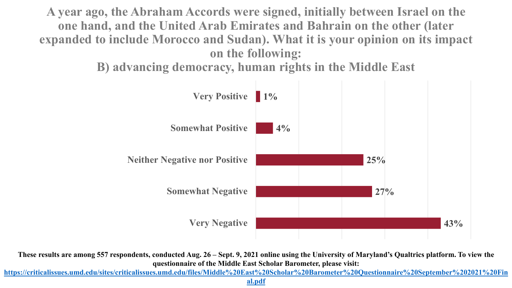**A year ago, the Abraham Accords were signed, initially between Israel on the one hand, and the United Arab Emirates and Bahrain on the other (later expanded to include Morocco and Sudan). What it is your opinion on its impact on the following:** 

**B) advancing democracy, human rights in the Middle East**



**These results are among 557 respondents, conducted Aug. 26 – Sept. 9, 2021 online using the University of Maryland's Qualtrics platform. To view the questionnaire of the Middle East Scholar Barometer, please visit:** 

**[https://criticalissues.umd.edu/sites/criticalissues.umd.edu/files/Middle%20East%20Scholar%20Barometer%20Questionnaire%20September%202021%20Fin](https://criticalissues.umd.edu/sites/criticalissues.umd.edu/files/Middle%20East%20Scholar%20Barometer%20Questionnaire%20September%202021%20Final.pdf)**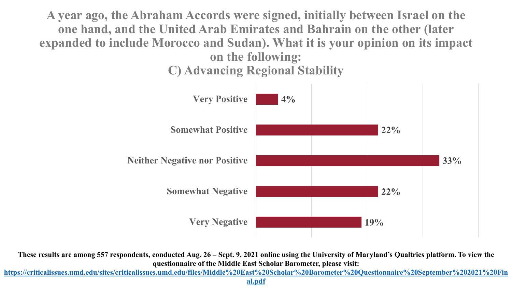**A year ago, the Abraham Accords were signed, initially between Israel on the one hand, and the United Arab Emirates and Bahrain on the other (later expanded to include Morocco and Sudan). What it is your opinion on its impact on the following: C) Advancing Regional Stability**



**These results are among 557 respondents, conducted Aug. 26 – Sept. 9, 2021 online using the University of Maryland's Qualtrics platform. To view the questionnaire of the Middle East Scholar Barometer, please visit:** 

**[https://criticalissues.umd.edu/sites/criticalissues.umd.edu/files/Middle%20East%20Scholar%20Barometer%20Questionnaire%20September%202021%20Fin](https://criticalissues.umd.edu/sites/criticalissues.umd.edu/files/Middle%20East%20Scholar%20Barometer%20Questionnaire%20September%202021%20Final.pdf)**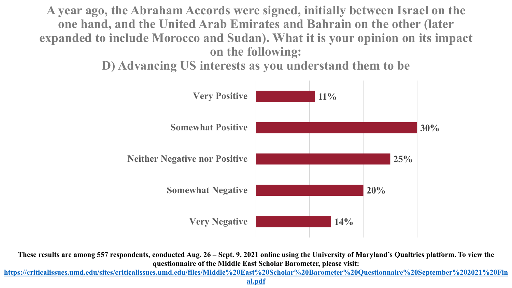**A year ago, the Abraham Accords were signed, initially between Israel on the one hand, and the United Arab Emirates and Bahrain on the other (later expanded to include Morocco and Sudan). What it is your opinion on its impact on the following:** 

**D) Advancing US interests as you understand them to be**



**These results are among 557 respondents, conducted Aug. 26 – Sept. 9, 2021 online using the University of Maryland's Qualtrics platform. To view the questionnaire of the Middle East Scholar Barometer, please visit:** 

**[https://criticalissues.umd.edu/sites/criticalissues.umd.edu/files/Middle%20East%20Scholar%20Barometer%20Questionnaire%20September%202021%20Fin](https://criticalissues.umd.edu/sites/criticalissues.umd.edu/files/Middle%20East%20Scholar%20Barometer%20Questionnaire%20September%202021%20Final.pdf)**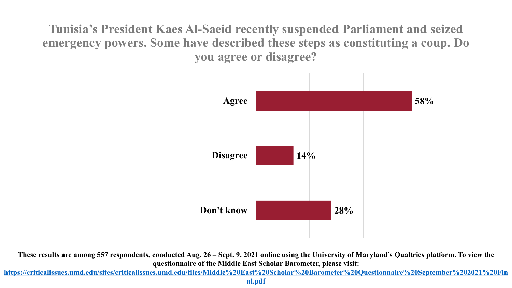**Tunisia's President Kaes Al-Saeid recently suspended Parliament and seized emergency powers. Some have described these steps as constituting a coup. Do you agree or disagree?**



**These results are among 557 respondents, conducted Aug. 26 – Sept. 9, 2021 online using the University of Maryland's Qualtrics platform. To view the questionnaire of the Middle East Scholar Barometer, please visit:** 

**[https://criticalissues.umd.edu/sites/criticalissues.umd.edu/files/Middle%20East%20Scholar%20Barometer%20Questionnaire%20September%202021%20Fin](https://criticalissues.umd.edu/sites/criticalissues.umd.edu/files/Middle%20East%20Scholar%20Barometer%20Questionnaire%20September%202021%20Final.pdf)**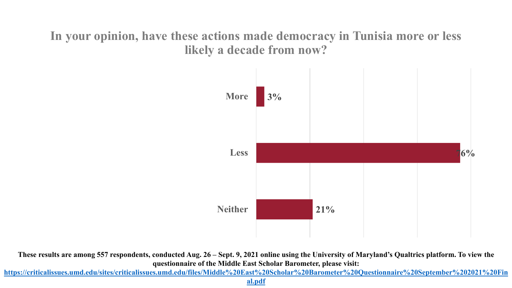### **In your opinion, have these actions made democracy in Tunisia more or less likely a decade from now?**



**These results are among 557 respondents, conducted Aug. 26 – Sept. 9, 2021 online using the University of Maryland's Qualtrics platform. To view the questionnaire of the Middle East Scholar Barometer, please visit:** 

**[https://criticalissues.umd.edu/sites/criticalissues.umd.edu/files/Middle%20East%20Scholar%20Barometer%20Questionnaire%20September%202021%20Fin](https://criticalissues.umd.edu/sites/criticalissues.umd.edu/files/Middle%20East%20Scholar%20Barometer%20Questionnaire%20September%202021%20Final.pdf)**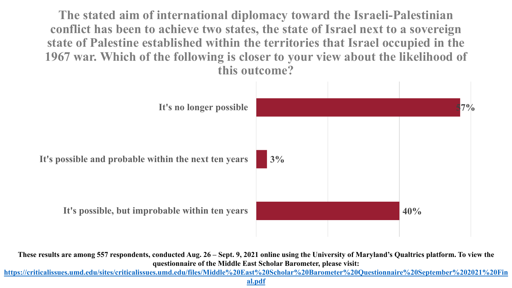**The stated aim of international diplomacy toward the Israeli-Palestinian conflict has been to achieve two states, the state of Israel next to a sovereign state of Palestine established within the territories that Israel occupied in the 1967 war. Which of the following is closer to your view about the likelihood of this outcome?**



**These results are among 557 respondents, conducted Aug. 26 – Sept. 9, 2021 online using the University of Maryland's Qualtrics platform. To view the questionnaire of the Middle East Scholar Barometer, please visit:** 

**[https://criticalissues.umd.edu/sites/criticalissues.umd.edu/files/Middle%20East%20Scholar%20Barometer%20Questionnaire%20September%202021%20Fin](https://criticalissues.umd.edu/sites/criticalissues.umd.edu/files/Middle%20East%20Scholar%20Barometer%20Questionnaire%20September%202021%20Final.pdf)**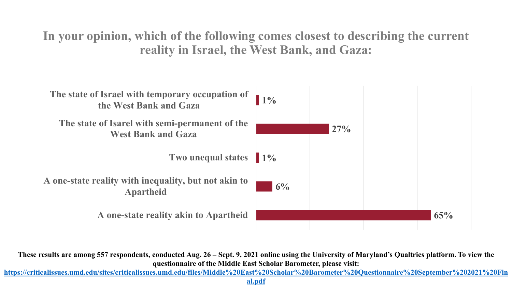**In your opinion, which of the following comes closest to describing the current reality in Israel, the West Bank, and Gaza:**



**These results are among 557 respondents, conducted Aug. 26 – Sept. 9, 2021 online using the University of Maryland's Qualtrics platform. To view the questionnaire of the Middle East Scholar Barometer, please visit:** 

**[https://criticalissues.umd.edu/sites/criticalissues.umd.edu/files/Middle%20East%20Scholar%20Barometer%20Questionnaire%20September%202021%20Fin](https://criticalissues.umd.edu/sites/criticalissues.umd.edu/files/Middle%20East%20Scholar%20Barometer%20Questionnaire%20September%202021%20Final.pdf)**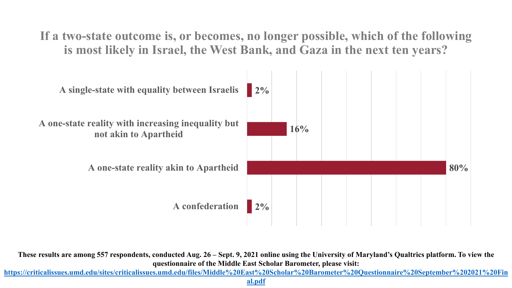**If a two-state outcome is, or becomes, no longer possible, which of the following is most likely in Israel, the West Bank, and Gaza in the next ten years?**



**These results are among 557 respondents, conducted Aug. 26 – Sept. 9, 2021 online using the University of Maryland's Qualtrics platform. To view the questionnaire of the Middle East Scholar Barometer, please visit:** 

**[https://criticalissues.umd.edu/sites/criticalissues.umd.edu/files/Middle%20East%20Scholar%20Barometer%20Questionnaire%20September%202021%20Fin](https://criticalissues.umd.edu/sites/criticalissues.umd.edu/files/Middle%20East%20Scholar%20Barometer%20Questionnaire%20September%202021%20Final.pdf)**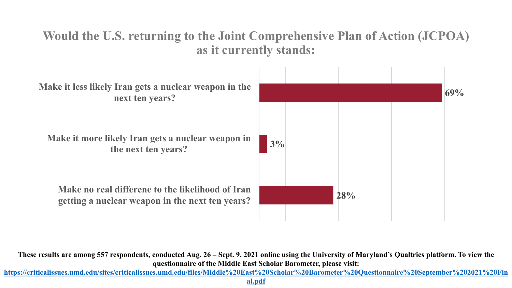### **Would the U.S. returning to the Joint Comprehensive Plan of Action (JCPOA) as it currently stands:**



**These results are among 557 respondents, conducted Aug. 26 – Sept. 9, 2021 online using the University of Maryland's Qualtrics platform. To view the questionnaire of the Middle East Scholar Barometer, please visit:** 

**[https://criticalissues.umd.edu/sites/criticalissues.umd.edu/files/Middle%20East%20Scholar%20Barometer%20Questionnaire%20September%202021%20Fin](https://criticalissues.umd.edu/sites/criticalissues.umd.edu/files/Middle%20East%20Scholar%20Barometer%20Questionnaire%20September%202021%20Final.pdf)**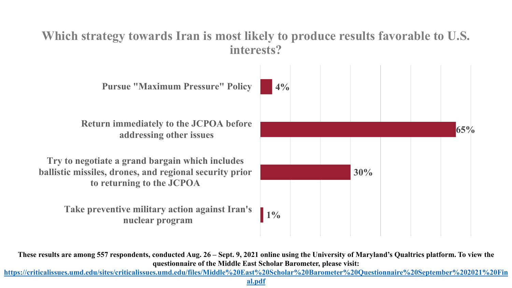### **Which strategy towards Iran is most likely to produce results favorable to U.S. interests?**



**These results are among 557 respondents, conducted Aug. 26 – Sept. 9, 2021 online using the University of Maryland's Qualtrics platform. To view the questionnaire of the Middle East Scholar Barometer, please visit:** 

**[https://criticalissues.umd.edu/sites/criticalissues.umd.edu/files/Middle%20East%20Scholar%20Barometer%20Questionnaire%20September%202021%20Fin](https://criticalissues.umd.edu/sites/criticalissues.umd.edu/files/Middle%20East%20Scholar%20Barometer%20Questionnaire%20September%202021%20Final.pdf)**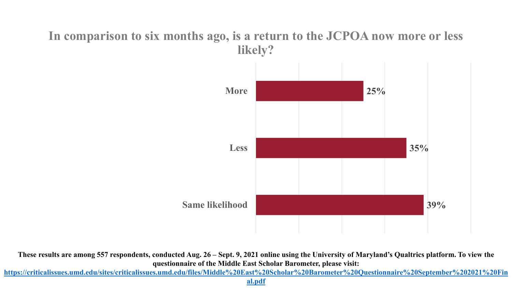#### **In comparison to six months ago, is a return to the JCPOA now more or less likely?**



**These results are among 557 respondents, conducted Aug. 26 – Sept. 9, 2021 online using the University of Maryland's Qualtrics platform. To view the questionnaire of the Middle East Scholar Barometer, please visit:** 

**[https://criticalissues.umd.edu/sites/criticalissues.umd.edu/files/Middle%20East%20Scholar%20Barometer%20Questionnaire%20September%202021%20Fin](https://criticalissues.umd.edu/sites/criticalissues.umd.edu/files/Middle%20East%20Scholar%20Barometer%20Questionnaire%20September%202021%20Final.pdf)**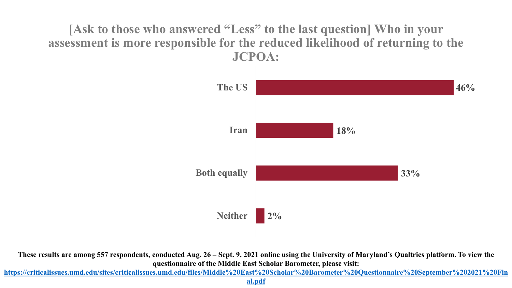**[Ask to those who answered "Less" to the last question] Who in your assessment is more responsible for the reduced likelihood of returning to the JCPOA:**



**These results are among 557 respondents, conducted Aug. 26 – Sept. 9, 2021 online using the University of Maryland's Qualtrics platform. To view the questionnaire of the Middle East Scholar Barometer, please visit:** 

**[https://criticalissues.umd.edu/sites/criticalissues.umd.edu/files/Middle%20East%20Scholar%20Barometer%20Questionnaire%20September%202021%20Fin](https://criticalissues.umd.edu/sites/criticalissues.umd.edu/files/Middle%20East%20Scholar%20Barometer%20Questionnaire%20September%202021%20Final.pdf)**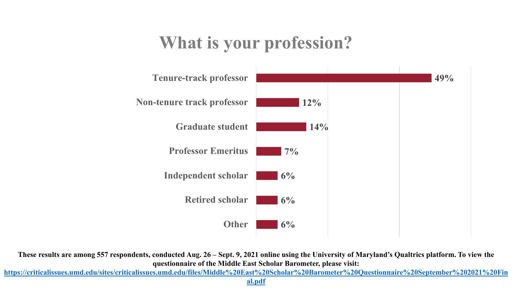# **What is your profession?**



**These results are among 557 respondents, conducted Aug. 26 – Sept. 9, 2021 online using the University of Maryland's Qualtrics platform. To view the questionnaire of the Middle East Scholar Barometer, please visit:** 

**[https://criticalissues.umd.edu/sites/criticalissues.umd.edu/files/Middle%20East%20Scholar%20Barometer%20Questionnaire%20September%202021%20Fin](https://criticalissues.umd.edu/sites/criticalissues.umd.edu/files/Middle%20East%20Scholar%20Barometer%20Questionnaire%20September%202021%20Final.pdf)**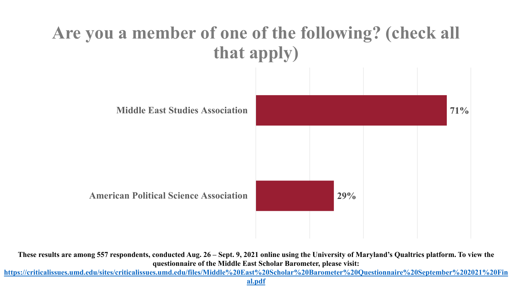

**These results are among 557 respondents, conducted Aug. 26 – Sept. 9, 2021 online using the University of Maryland's Qualtrics platform. To view the questionnaire of the Middle East Scholar Barometer, please visit:** 

**[https://criticalissues.umd.edu/sites/criticalissues.umd.edu/files/Middle%20East%20Scholar%20Barometer%20Questionnaire%20September%202021%20Fin](https://criticalissues.umd.edu/sites/criticalissues.umd.edu/files/Middle%20East%20Scholar%20Barometer%20Questionnaire%20September%202021%20Final.pdf)**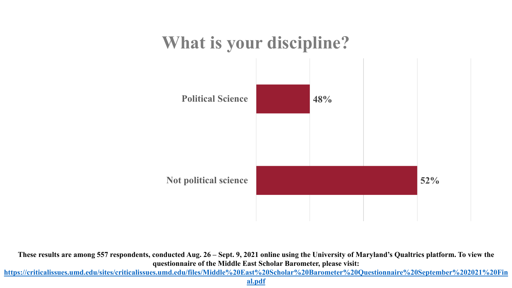## **What is your discipline?**



**These results are among 557 respondents, conducted Aug. 26 – Sept. 9, 2021 online using the University of Maryland's Qualtrics platform. To view the questionnaire of the Middle East Scholar Barometer, please visit:** 

**[https://criticalissues.umd.edu/sites/criticalissues.umd.edu/files/Middle%20East%20Scholar%20Barometer%20Questionnaire%20September%202021%20Fin](https://criticalissues.umd.edu/sites/criticalissues.umd.edu/files/Middle%20East%20Scholar%20Barometer%20Questionnaire%20September%202021%20Final.pdf)**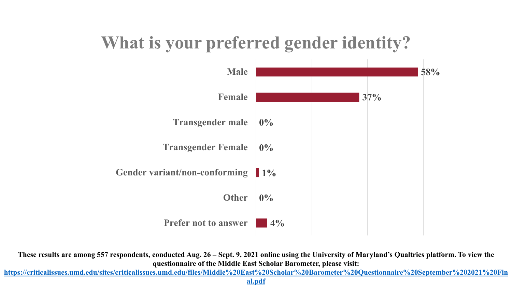## **What is your preferred gender identity?**



**These results are among 557 respondents, conducted Aug. 26 – Sept. 9, 2021 online using the University of Maryland's Qualtrics platform. To view the questionnaire of the Middle East Scholar Barometer, please visit:** 

**[https://criticalissues.umd.edu/sites/criticalissues.umd.edu/files/Middle%20East%20Scholar%20Barometer%20Questionnaire%20September%202021%20Fin](https://criticalissues.umd.edu/sites/criticalissues.umd.edu/files/Middle%20East%20Scholar%20Barometer%20Questionnaire%20September%202021%20Final.pdf)**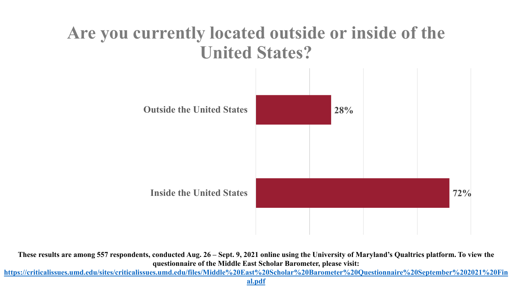# **Are you currently located outside or inside of the United States?**



**These results are among 557 respondents, conducted Aug. 26 – Sept. 9, 2021 online using the University of Maryland's Qualtrics platform. To view the questionnaire of the Middle East Scholar Barometer, please visit:** 

**[https://criticalissues.umd.edu/sites/criticalissues.umd.edu/files/Middle%20East%20Scholar%20Barometer%20Questionnaire%20September%202021%20Fin](https://criticalissues.umd.edu/sites/criticalissues.umd.edu/files/Middle%20East%20Scholar%20Barometer%20Questionnaire%20September%202021%20Final.pdf)**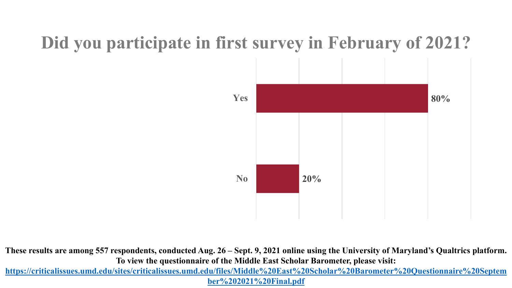## **Did you participate in first survey in February of 2021?**



**These results are among 557 respondents, conducted Aug. 26 – Sept. 9, 2021 online using the University of Maryland's Qualtrics platform. To view the questionnaire of the Middle East Scholar Barometer, please visit:** 

**[https://criticalissues.umd.edu/sites/criticalissues.umd.edu/files/Middle%20East%20Scholar%20Barometer%20Questionnaire%20Septem](https://criticalissues.umd.edu/sites/criticalissues.umd.edu/files/Middle%20East%20Scholar%20Barometer%20Questionnaire%20September%202021%20Final.pdf) ber%202021%20Final.pdf**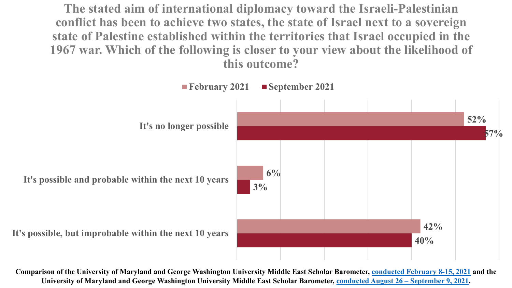**The stated aim of international diplomacy toward the Israeli-Palestinian conflict has been to achieve two states, the state of Israel next to a sovereign state of Palestine established within the territories that Israel occupied in the 1967 war. Which of the following is closer to your view about the likelihood of this outcome?**



**Comparison of the University of Maryland and George Washington University Middle East Scholar Barometer, [conducted February 8-15, 2021](https://criticalissues.umd.edu/sites/criticalissues.umd.edu/files/Middle%20East%20Scholar%20Barometer%25%2020Questionnaire.pdf) and the University of Maryland and George Washington University Middle East Scholar Barometer, [conducted August 26 –](https://criticalissues.umd.edu/sites/criticalissues.umd.edu/files/Middle%20East%20Scholar%20Barometer%20Questionnaire%20September%202021%20Final.pdf) September 9, 2021.**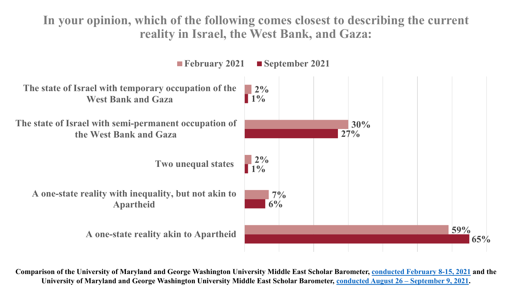**In your opinion, which of the following comes closest to describing the current reality in Israel, the West Bank, and Gaza:**



**Comparison of the University of Maryland and George Washington University Middle East Scholar Barometer, [conducted February 8-15, 2021](https://criticalissues.umd.edu/sites/criticalissues.umd.edu/files/Middle%20East%20Scholar%20Barometer%25%2020Questionnaire.pdf) and the University of Maryland and George Washington University Middle East Scholar Barometer, [conducted August 26 –](https://criticalissues.umd.edu/sites/criticalissues.umd.edu/files/Middle%20East%20Scholar%20Barometer%20Questionnaire%20September%202021%20Final.pdf) September 9, 2021.**